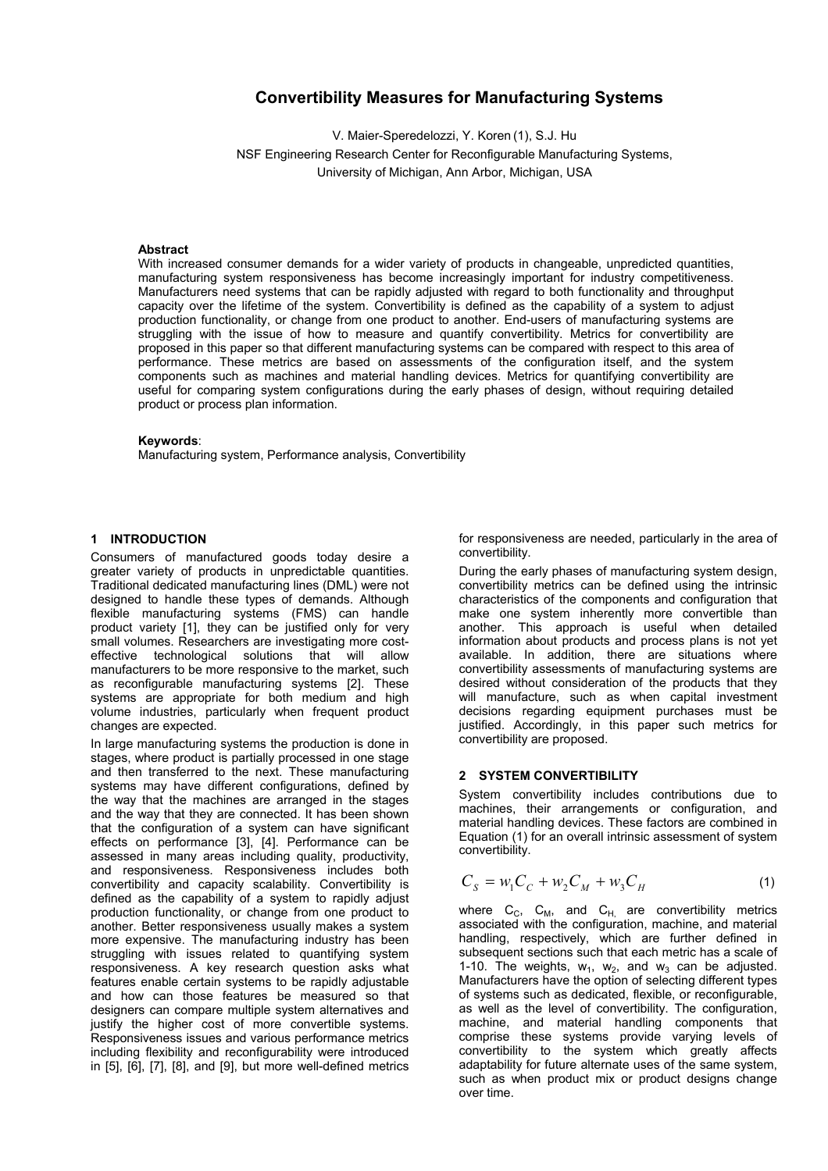# **Convertibility Measures for Manufacturing Systems**

V. Maier-Speredelozzi, Y. Koren (1), S.J. Hu NSF Engineering Research Center for Reconfigurable Manufacturing Systems, University of Michigan, Ann Arbor, Michigan, USA

### **Abstract**

With increased consumer demands for a wider variety of products in changeable, unpredicted quantities, manufacturing system responsiveness has become increasingly important for industry competitiveness. Manufacturers need systems that can be rapidly adjusted with regard to both functionality and throughput capacity over the lifetime of the system. Convertibility is defined as the capability of a system to adjust production functionality, or change from one product to another. End-users of manufacturing systems are struggling with the issue of how to measure and quantify convertibility. Metrics for convertibility are proposed in this paper so that different manufacturing systems can be compared with respect to this area of performance. These metrics are based on assessments of the configuration itself, and the system components such as machines and material handling devices. Metrics for quantifying convertibility are useful for comparing system configurations during the early phases of design, without requiring detailed product or process plan information.

#### **Keywords**:

Manufacturing system, Performance analysis, Convertibility

# **1 INTRODUCTION**

Consumers of manufactured goods today desire a greater variety of products in unpredictable quantities. Traditional dedicated manufacturing lines (DML) were not designed to handle these types of demands. Although flexible manufacturing systems (FMS) can handle product variety [1], they can be justified only for very small volumes. Researchers are investigating more costeffective technological solutions that will allow manufacturers to be more responsive to the market, such as reconfigurable manufacturing systems [2]. These systems are appropriate for both medium and high volume industries, particularly when frequent product changes are expected.

In large manufacturing systems the production is done in stages, where product is partially processed in one stage and then transferred to the next. These manufacturing systems may have different configurations, defined by the way that the machines are arranged in the stages and the way that they are connected. It has been shown that the configuration of a system can have significant effects on performance [3], [4]. Performance can be assessed in many areas including quality, productivity, and responsiveness. Responsiveness includes both convertibility and capacity scalability. Convertibility is defined as the capability of a system to rapidly adjust production functionality, or change from one product to another. Better responsiveness usually makes a system more expensive. The manufacturing industry has been struggling with issues related to quantifying system responsiveness. A key research question asks what features enable certain systems to be rapidly adjustable and how can those features be measured so that designers can compare multiple system alternatives and justify the higher cost of more convertible systems. Responsiveness issues and various performance metrics including flexibility and reconfigurability were introduced in [5], [6], [7], [8], and [9], but more well-defined metrics for responsiveness are needed, particularly in the area of convertibility.

During the early phases of manufacturing system design, convertibility metrics can be defined using the intrinsic characteristics of the components and configuration that make one system inherently more convertible than another. This approach is useful when detailed information about products and process plans is not yet available. In addition, there are situations where convertibility assessments of manufacturing systems are desired without consideration of the products that they will manufacture, such as when capital investment decisions regarding equipment purchases must be justified. Accordingly, in this paper such metrics for convertibility are proposed.

# **2 SYSTEM CONVERTIBILITY**

System convertibility includes contributions due to machines, their arrangements or configuration, and material handling devices. These factors are combined in Equation (1) for an overall intrinsic assessment of system convertibility.

$$
C_{S} = w_{1}C_{C} + w_{2}C_{M} + w_{3}C_{H}
$$
 (1)

where  $C_{C}$ ,  $C_{M}$ , and  $C_{H}$ , are convertibility metrics associated with the configuration, machine, and material handling, respectively, which are further defined in subsequent sections such that each metric has a scale of 1-10. The weights,  $w_1$ ,  $w_2$ , and  $w_3$  can be adjusted. Manufacturers have the option of selecting different types of systems such as dedicated, flexible, or reconfigurable, as well as the level of convertibility. The configuration, machine, and material handling components that comprise these systems provide varying levels of convertibility to the system which greatly affects adaptability for future alternate uses of the same system, such as when product mix or product designs change over time.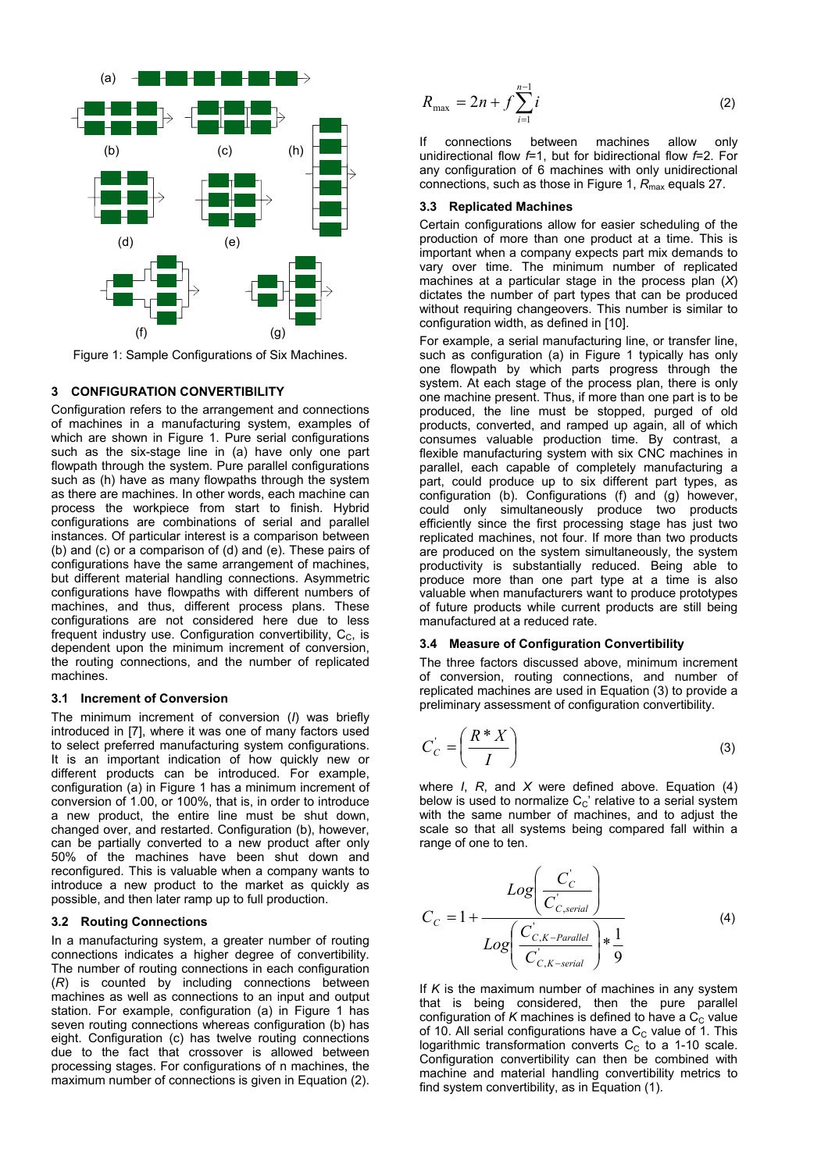

Figure 1: Sample Configurations of Six Machines.

### **3 CONFIGURATION CONVERTIBILITY**

Configuration refers to the arrangement and connections of machines in a manufacturing system, examples of which are shown in Figure 1. Pure serial configurations such as the six-stage line in (a) have only one part flowpath through the system. Pure parallel configurations such as (h) have as many flowpaths through the system as there are machines. In other words, each machine can process the workpiece from start to finish. Hybrid configurations are combinations of serial and parallel instances. Of particular interest is a comparison between (b) and (c) or a comparison of (d) and (e). These pairs of configurations have the same arrangement of machines, but different material handling connections. Asymmetric configurations have flowpaths with different numbers of machines, and thus, different process plans. These configurations are not considered here due to less frequent industry use. Configuration convertibility,  $C_{C}$ , is dependent upon the minimum increment of conversion, the routing connections, and the number of replicated machines.

### **3.1 Increment of Conversion**

The minimum increment of conversion (*I*) was briefly introduced in [7], where it was one of many factors used to select preferred manufacturing system configurations. It is an important indication of how quickly new or different products can be introduced. For example, configuration (a) in Figure 1 has a minimum increment of conversion of 1.00, or 100%, that is, in order to introduce a new product, the entire line must be shut down, changed over, and restarted. Configuration (b), however, can be partially converted to a new product after only 50% of the machines have been shut down and reconfigured. This is valuable when a company wants to introduce a new product to the market as quickly as possible, and then later ramp up to full production.

### **3.2 Routing Connections**

In a manufacturing system, a greater number of routing connections indicates a higher degree of convertibility. The number of routing connections in each configuration (*R*) is counted by including connections between machines as well as connections to an input and output station. For example, configuration (a) in Figure 1 has seven routing connections whereas configuration (b) has eight. Configuration (c) has twelve routing connections due to the fact that crossover is allowed between processing stages. For configurations of n machines, the maximum number of connections is given in Equation (2).

$$
R_{\max} = 2n + f \sum_{i=1}^{n-1} i
$$
 (2)

If connections between machines allow only unidirectional flow *f*=1, but for bidirectional flow *f*=2. For any configuration of 6 machines with only unidirectional connections, such as those in Figure 1,  $R_{\text{max}}$  equals 27.

#### **3.3 Replicated Machines**

Certain configurations allow for easier scheduling of the production of more than one product at a time. This is important when a company expects part mix demands to vary over time. The minimum number of replicated machines at a particular stage in the process plan (*X*) dictates the number of part types that can be produced without requiring changeovers. This number is similar to configuration width, as defined in [10].

For example, a serial manufacturing line, or transfer line, such as configuration (a) in Figure 1 typically has only one flowpath by which parts progress through the system. At each stage of the process plan, there is only one machine present. Thus, if more than one part is to be produced, the line must be stopped, purged of old products, converted, and ramped up again, all of which consumes valuable production time. By contrast, a flexible manufacturing system with six CNC machines in parallel, each capable of completely manufacturing a part, could produce up to six different part types, as configuration (b). Configurations (f) and (g) however, could only simultaneously produce two products efficiently since the first processing stage has just two replicated machines, not four. If more than two products are produced on the system simultaneously, the system productivity is substantially reduced. Being able to produce more than one part type at a time is also valuable when manufacturers want to produce prototypes of future products while current products are still being manufactured at a reduced rate.

#### **3.4 Measure of Configuration Convertibility**

The three factors discussed above, minimum increment of conversion, routing connections, and number of replicated machines are used in Equation (3) to provide a preliminary assessment of configuration convertibility.

$$
C_C' = \left(\frac{R * X}{I}\right) \tag{3}
$$

where *I*, *R*, and *X* were defined above. Equation (4) below is used to normalize  $C_C$ ' relative to a serial system with the same number of machines, and to adjust the scale so that all systems being compared fall within a range of one to ten.

$$
C_C = 1 + \frac{Log\left(\frac{C_C'}{C_{C,serial}}\right)}{Log\left(\frac{C_{C,K-Parallel}'}{C_{C,K-serial}}\right) * \frac{1}{9}}
$$
\n(4)

If *K* is the maximum number of machines in any system that is being considered, then the pure parallel configuration of  $K$  machines is defined to have a  $C_C$  value of 10. All serial configurations have a  $C_{\text{C}}$  value of 1. This logarithmic transformation converts  $C<sub>C</sub>$  to a 1-10 scale. Configuration convertibility can then be combined with machine and material handling convertibility metrics to find system convertibility, as in Equation (1).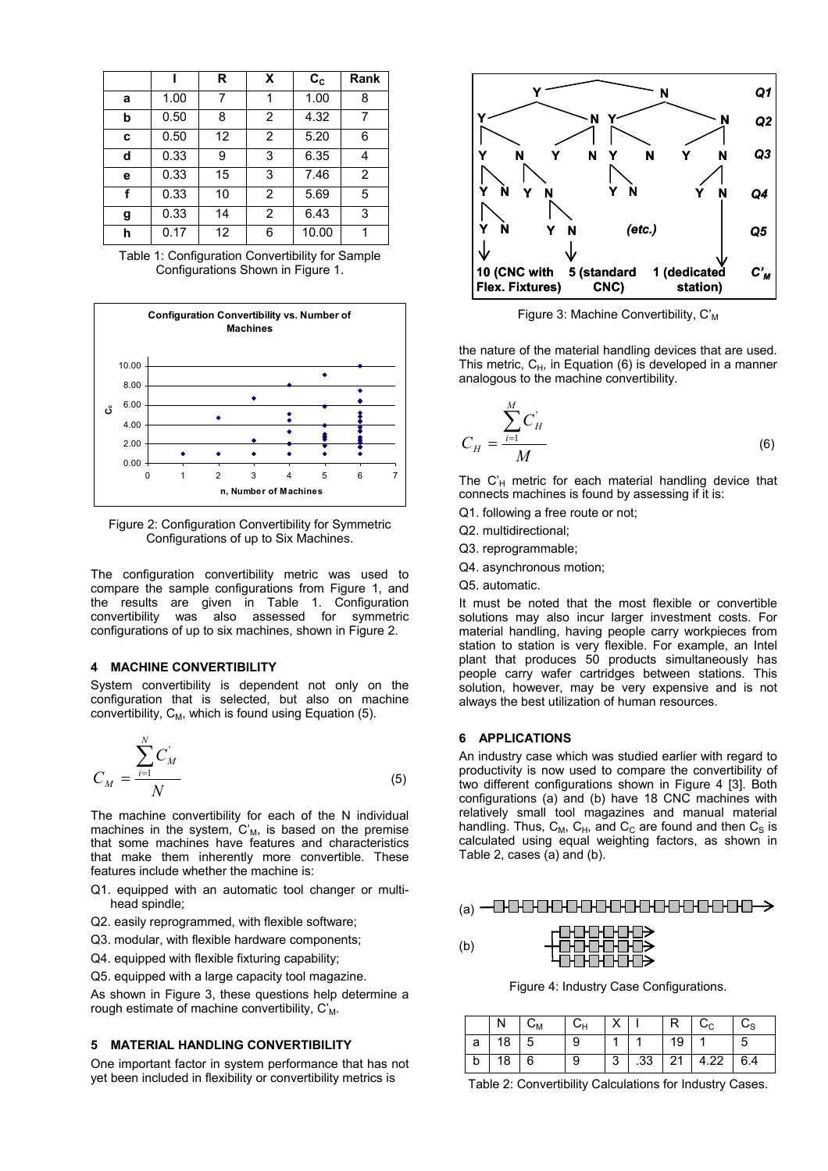|   |      | R              | X | $c_{c}$ | Rank |
|---|------|----------------|---|---------|------|
| a | 1.00 | $\overline{7}$ |   | 1.00    | 8    |
| b | 0.50 | 8              | 2 | 4.32    | 7    |
| c | 0.50 | 12             | 2 | 5.20    | 6    |
| d | 0.33 | 9              | 3 | 6.35    | 4    |
| е | 0.33 | 15             | 3 | 7.46    | 2    |
| f | 0.33 | 10             | 2 | 5.69    | 5    |
| g | 0.33 | 14             | 2 | 6.43    | 3    |
| h | 0.17 | 12             | 6 | 10.00   |      |

Table 1: Configuration Convertibility for Sample Configurations Shown in Figure 1.



Figure 2: Configuration Convertibility for Symmetric Configurations of up to Six Machines.

The configuration convertibility metric was used to compare the sample configurations from Figure 1, and the results are given in Table 1. Configuration convertibility was also assessed for symmetric configurations of up to six machines, shown in Figure 2.

# **4 MACHINE CONVERTIBILITY**

System convertibility is dependent not only on the configuration that is selected, but also on machine convertibility,  $C_M$ , which is found using Equation (5).

$$
C_M = \frac{\sum_{i=1}^{N} C_M'}{N}
$$
 (5)

The machine convertibility for each of the N individual machines in the system,  $C_M$ , is based on the premise that some machines have features and characteristics that make them inherently more convertible. These features include whether the machine is:

- Q1. equipped with an automatic tool changer or multihead spindle;
- Q2. easily reprogrammed, with flexible software;
- Q3. modular, with flexible hardware components;
- Q4. equipped with flexible fixturing capability;
- Q5. equipped with a large capacity tool magazine.

As shown in Figure 3, these questions help determine a rough estimate of machine convertibility,  $C_M$ .

# **5 MATERIAL HANDLING CONVERTIBILITY**

One important factor in system performance that has not yet been included in flexibility or convertibility metrics is



Figure 3: Machine Convertibility,  $C_M$ 

the nature of the material handling devices that are used. This metric,  $C_H$ , in Equation (6) is developed in a manner analogous to the machine convertibility.

$$
C_H = \frac{\sum_{i=1}^{M} C_H}{M}
$$
 (6)

The  $C_H$  metric for each material handling device that connects machines is found by assessing if it is:

- Q1. following a free route or not;
- Q2. multidirectional;
- Q3. reprogrammable;
- Q4. asynchronous motion;
- Q5. automatic.

It must be noted that the most flexible or convertible solutions may also incur larger investment costs. For material handling, having people carry workpieces from station to station is very flexible. For example, an Intel plant that produces 50 products simultaneously has people carry wafer cartridges between stations. This solution, however, may be very expensive and is not always the best utilization of human resources.

# **6 APPLICATIONS**

An industry case which was studied earlier with regard to productivity is now used to compare the convertibility of two different configurations shown in Figure 4 [3]. Both configurations (a) and (b) have 18 CNC machines with relatively small tool magazines and manual material handling. Thus,  $C_M$ ,  $C_H$ , and  $C_C$  are found and then  $C_S$  is calculated using equal weighting factors, as shown in Table 2, cases (a) and (b).

# (a)

(b) ⊦⊡∙⊡+⊒≽ HHHH<del>P</del>

Figure 4: Industry Case Configurations.

|                    | $N \mid C_M$ | $ C_{H} $ $ X $ |  |    | $R \mid C_c \mid C_s$                   |  |
|--------------------|--------------|-----------------|--|----|-----------------------------------------|--|
| $a \mid 18 \mid 5$ |              |                 |  | 19 |                                         |  |
| $ b $ 18 6         |              |                 |  |    | $3 \mid .33 \mid 21 \mid 4.22 \mid 6.4$ |  |

Table 2: Convertibility Calculations for Industry Cases.